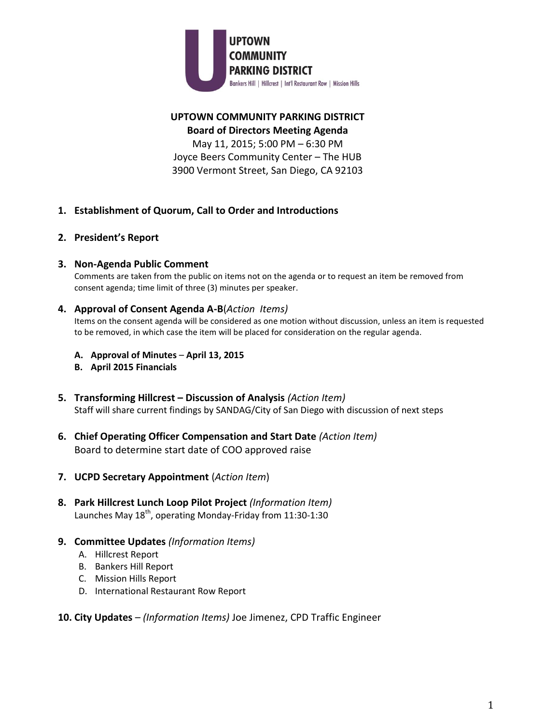

## **UPTOWN COMMUNITY PARKING DISTRICT Board of Directors Meeting Agenda**

May 11, 2015; 5:00 PM – 6:30 PM Joyce Beers Community Center – The HUB 3900 Vermont Street, San Diego, CA 92103

- **1. Establishment of Quorum, Call to Order and Introductions**
- **2. President's Report**
- **3. Non-Agenda Public Comment**

Comments are taken from the public on items not on the agenda or to request an item be removed from consent agenda; time limit of three (3) minutes per speaker.

**4. Approval of Consent Agenda A-B**(*Action Items)*

Items on the consent agenda will be considered as one motion without discussion, unless an item is requested to be removed, in which case the item will be placed for consideration on the regular agenda.

- **A. Approval of Minutes April 13, 2015**
- **B. April 2015 Financials**
- **5. Transforming Hillcrest – Discussion of Analysis** *(Action Item)* Staff will share current findings by SANDAG/City of San Diego with discussion of next steps
- **6. Chief Operating Officer Compensation and Start Date** *(Action Item)* Board to determine start date of COO approved raise
- **7. UCPD Secretary Appointment** (*Action Item*)
- **8. Park Hillcrest Lunch Loop Pilot Project** *(Information Item)* Launches May 18<sup>th</sup>, operating Monday-Friday from 11:30-1:30
- **9. Committee Updates** *(Information Items)*
	- A. Hillcrest Report
	- B. Bankers Hill Report
	- C. Mission Hills Report
	- D. International Restaurant Row Report

## **10. City Updates** *– (Information Items)* Joe Jimenez, CPD Traffic Engineer